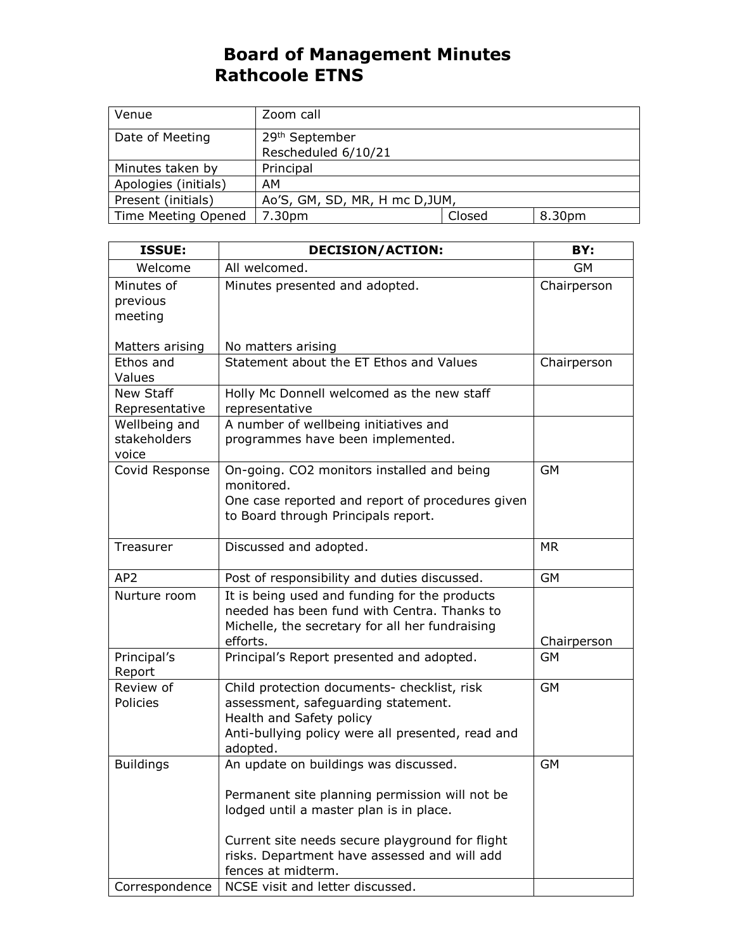## **Board of Management Minutes Rathcoole ETNS**

| Venue                | Zoom call                      |        |        |
|----------------------|--------------------------------|--------|--------|
| Date of Meeting      | 29 <sup>th</sup> September     |        |        |
|                      | Rescheduled 6/10/21            |        |        |
| Minutes taken by     | Principal                      |        |        |
| Apologies (initials) | AM                             |        |        |
| Present (initials)   | Ao'S, GM, SD, MR, H mc D, JUM, |        |        |
| Time Meeting Opened  | 7.30pm                         | Closed | 8.30pm |

| <b>ISSUE:</b>                          | <b>DECISION/ACTION:</b>                                                                                                                                                         | BY:         |
|----------------------------------------|---------------------------------------------------------------------------------------------------------------------------------------------------------------------------------|-------------|
| Welcome                                | All welcomed.                                                                                                                                                                   | GM          |
| Minutes of<br>previous<br>meeting      | Minutes presented and adopted.                                                                                                                                                  | Chairperson |
| Matters arising                        | No matters arising                                                                                                                                                              |             |
| Ethos and<br>Values                    | Statement about the ET Ethos and Values                                                                                                                                         | Chairperson |
| New Staff<br>Representative            | Holly Mc Donnell welcomed as the new staff<br>representative                                                                                                                    |             |
| Wellbeing and<br>stakeholders<br>voice | A number of wellbeing initiatives and<br>programmes have been implemented.                                                                                                      |             |
| Covid Response                         | On-going. CO2 monitors installed and being<br>monitored.<br>One case reported and report of procedures given<br>to Board through Principals report.                             | <b>GM</b>   |
| Treasurer                              | Discussed and adopted.                                                                                                                                                          | <b>MR</b>   |
| AP <sub>2</sub>                        | Post of responsibility and duties discussed.                                                                                                                                    | <b>GM</b>   |
| Nurture room                           | It is being used and funding for the products<br>needed has been fund with Centra. Thanks to<br>Michelle, the secretary for all her fundraising<br>efforts.                     | Chairperson |
| Principal's<br>Report                  | Principal's Report presented and adopted.                                                                                                                                       | <b>GM</b>   |
| Review of<br>Policies                  | Child protection documents- checklist, risk<br>assessment, safeguarding statement.<br>Health and Safety policy<br>Anti-bullying policy were all presented, read and<br>adopted. | GM          |
| <b>Buildings</b>                       | An update on buildings was discussed.<br>Permanent site planning permission will not be<br>lodged until a master plan is in place.                                              | <b>GM</b>   |
| Correspondence                         | Current site needs secure playground for flight<br>risks. Department have assessed and will add<br>fences at midterm.<br>NCSE visit and letter discussed.                       |             |